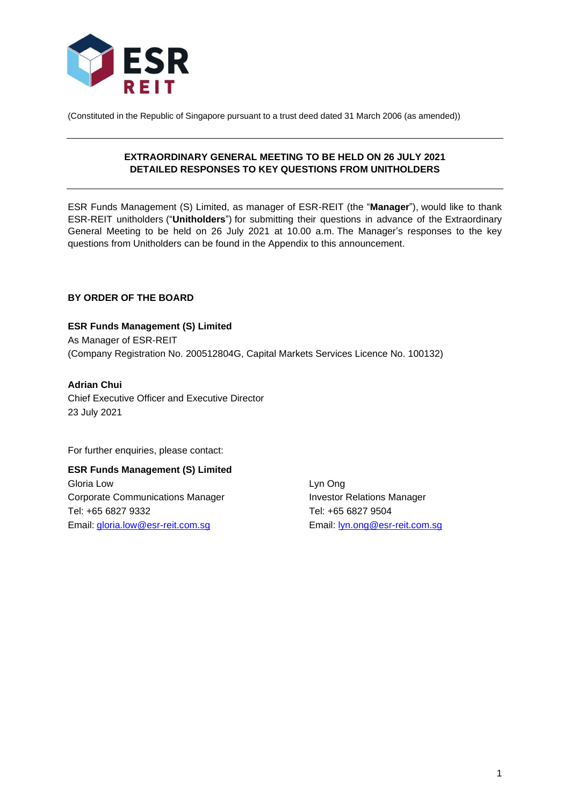

(Constituted in the Republic of Singapore pursuant to a trust deed dated 31 March 2006 (as amended))

## **EXTRAORDINARY GENERAL MEETING TO BE HELD ON 26 JULY 2021 DETAILED RESPONSES TO KEY QUESTIONS FROM UNITHOLDERS**

ESR Funds Management (S) Limited, as manager of ESR-REIT (the "**Manager**"), would like to thank ESR-REIT unitholders ("**Unitholders**") for submitting their questions in advance of the Extraordinary General Meeting to be held on 26 July 2021 at 10.00 a.m. The Manager's responses to the key questions from Unitholders can be found in the Appendix to this announcement.

## **BY ORDER OF THE BOARD**

**ESR Funds Management (S) Limited** As Manager of ESR-REIT (Company Registration No. 200512804G, Capital Markets Services Licence No. 100132)

**Adrian Chui** Chief Executive Officer and Executive Director 23 July 2021

For further enquiries, please contact:

**ESR Funds Management (S) Limited** Gloria Low Lyn Ong Corporate Communications Manager **Investor Relations Manager** Tel: +65 6827 9332 Tel: +65 6827 9504 Email: [gloria.low@esr-reit.com.sg](mailto:gloria.low@esr-reit.com.sg) Email: [lyn.ong@esr-reit.com.sg](mailto:lyn.ong@esr-reit.com.sg)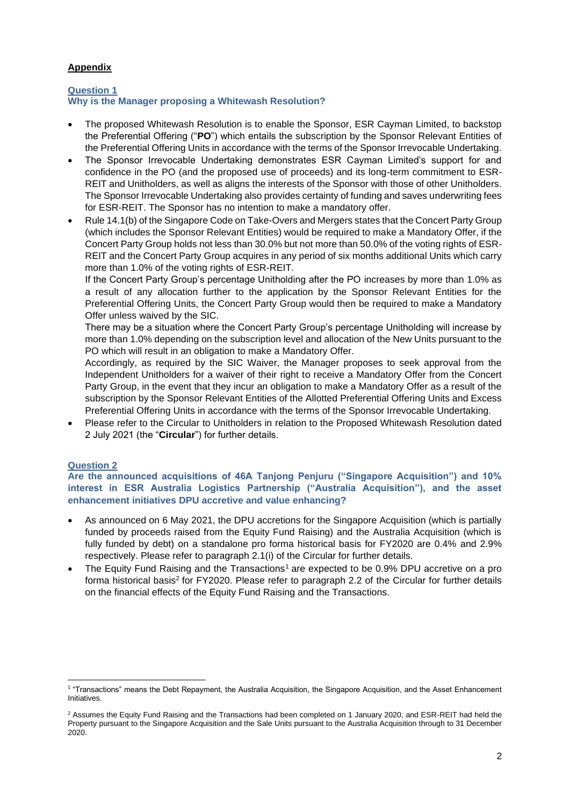## **Appendix**

### **Question 1 Why is the Manager proposing a Whitewash Resolution?**

- The proposed Whitewash Resolution is to enable the Sponsor, ESR Cayman Limited, to backstop the Preferential Offering ("**PO**") which entails the subscription by the Sponsor Relevant Entities of the Preferential Offering Units in accordance with the terms of the Sponsor Irrevocable Undertaking.
- The Sponsor Irrevocable Undertaking demonstrates ESR Cayman Limited's support for and confidence in the PO (and the proposed use of proceeds) and its long-term commitment to ESR-REIT and Unitholders, as well as aligns the interests of the Sponsor with those of other Unitholders. The Sponsor Irrevocable Undertaking also provides certainty of funding and saves underwriting fees for ESR-REIT. The Sponsor has no intention to make a mandatory offer.
- Rule 14.1(b) of the Singapore Code on Take-Overs and Mergers states that the Concert Party Group (which includes the Sponsor Relevant Entities) would be required to make a Mandatory Offer, if the Concert Party Group holds not less than 30.0% but not more than 50.0% of the voting rights of ESR-REIT and the Concert Party Group acquires in any period of six months additional Units which carry more than 1.0% of the voting rights of ESR-REIT.

If the Concert Party Group's percentage Unitholding after the PO increases by more than 1.0% as a result of any allocation further to the application by the Sponsor Relevant Entities for the Preferential Offering Units, the Concert Party Group would then be required to make a Mandatory Offer unless waived by the SIC.

There may be a situation where the Concert Party Group's percentage Unitholding will increase by more than 1.0% depending on the subscription level and allocation of the New Units pursuant to the PO which will result in an obligation to make a Mandatory Offer.

Accordingly, as required by the SIC Waiver, the Manager proposes to seek approval from the Independent Unitholders for a waiver of their right to receive a Mandatory Offer from the Concert Party Group, in the event that they incur an obligation to make a Mandatory Offer as a result of the subscription by the Sponsor Relevant Entities of the Allotted Preferential Offering Units and Excess Preferential Offering Units in accordance with the terms of the Sponsor Irrevocable Undertaking.

• Please refer to the Circular to Unitholders in relation to the Proposed Whitewash Resolution dated 2 July 2021 (the "**Circular**") for further details.

# **Question 2**

**Are the announced acquisitions of 46A Tanjong Penjuru ("Singapore Acquisition") and 10% interest in ESR Australia Logistics Partnership ("Australia Acquisition"), and the asset enhancement initiatives DPU accretive and value enhancing?**

- As announced on 6 May 2021, the DPU accretions for the Singapore Acquisition (which is partially funded by proceeds raised from the Equity Fund Raising) and the Australia Acquisition (which is fully funded by debt) on a standalone pro forma historical basis for FY2020 are 0.4% and 2.9% respectively. Please refer to paragraph 2.1(i) of the Circular for further details.
- The Equity Fund Raising and the Transactions<sup>1</sup> are expected to be 0.9% DPU accretive on a pro forma historical basis<sup>2</sup> for FY2020. Please refer to paragraph 2.2 of the Circular for further details on the financial effects of the Equity Fund Raising and the Transactions.

<sup>1</sup> "Transactions" means the Debt Repayment, the Australia Acquisition, the Singapore Acquisition, and the Asset Enhancement Initiatives.

<sup>&</sup>lt;sup>2</sup> Assumes the Equity Fund Raising and the Transactions had been completed on 1 January 2020, and ESR-REIT had held the Property pursuant to the Singapore Acquisition and the Sale Units pursuant to the Australia Acquisition through to 31 December 2020.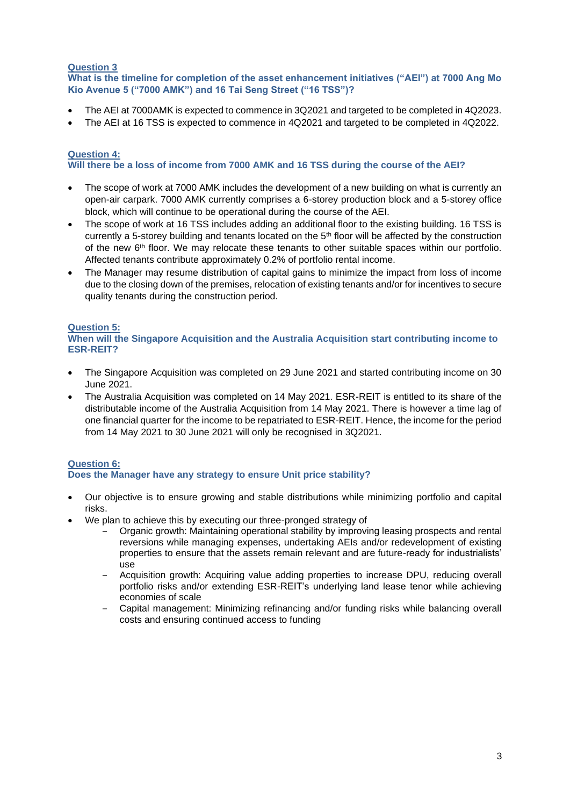## **Question 3**

**What is the timeline for completion of the asset enhancement initiatives ("AEI") at 7000 Ang Mo Kio Avenue 5 ("7000 AMK") and 16 Tai Seng Street ("16 TSS")?**

- The AEI at 7000AMK is expected to commence in 3Q2021 and targeted to be completed in 4Q2023.
- The AEI at 16 TSS is expected to commence in 4Q2021 and targeted to be completed in 4Q2022.

### **Question 4:**

### **Will there be a loss of income from 7000 AMK and 16 TSS during the course of the AEI?**

- The scope of work at 7000 AMK includes the development of a new building on what is currently an open-air carpark. 7000 AMK currently comprises a 6-storey production block and a 5-storey office block, which will continue to be operational during the course of the AEI.
- The scope of work at 16 TSS includes adding an additional floor to the existing building. 16 TSS is currently a 5-storey building and tenants located on the 5<sup>th</sup> floor will be affected by the construction of the new 6<sup>th</sup> floor. We may relocate these tenants to other suitable spaces within our portfolio. Affected tenants contribute approximately 0.2% of portfolio rental income.
- The Manager may resume distribution of capital gains to minimize the impact from loss of income due to the closing down of the premises, relocation of existing tenants and/or for incentives to secure quality tenants during the construction period.

## **Question 5:**

**When will the Singapore Acquisition and the Australia Acquisition start contributing income to ESR-REIT?**

- The Singapore Acquisition was completed on 29 June 2021 and started contributing income on 30 June 2021.
- The Australia Acquisition was completed on 14 May 2021. ESR-REIT is entitled to its share of the distributable income of the Australia Acquisition from 14 May 2021. There is however a time lag of one financial quarter for the income to be repatriated to ESR-REIT. Hence, the income for the period from 14 May 2021 to 30 June 2021 will only be recognised in 3Q2021.

# **Question 6:**

# **Does the Manager have any strategy to ensure Unit price stability?**

- Our objective is to ensure growing and stable distributions while minimizing portfolio and capital risks.
- We plan to achieve this by executing our three-pronged strategy of
	- ‒ Organic growth: Maintaining operational stability by improving leasing prospects and rental reversions while managing expenses, undertaking AEIs and/or redevelopment of existing properties to ensure that the assets remain relevant and are future-ready for industrialists' use
	- ‒ Acquisition growth: Acquiring value adding properties to increase DPU, reducing overall portfolio risks and/or extending ESR-REIT's underlying land lease tenor while achieving economies of scale
	- ‒ Capital management: Minimizing refinancing and/or funding risks while balancing overall costs and ensuring continued access to funding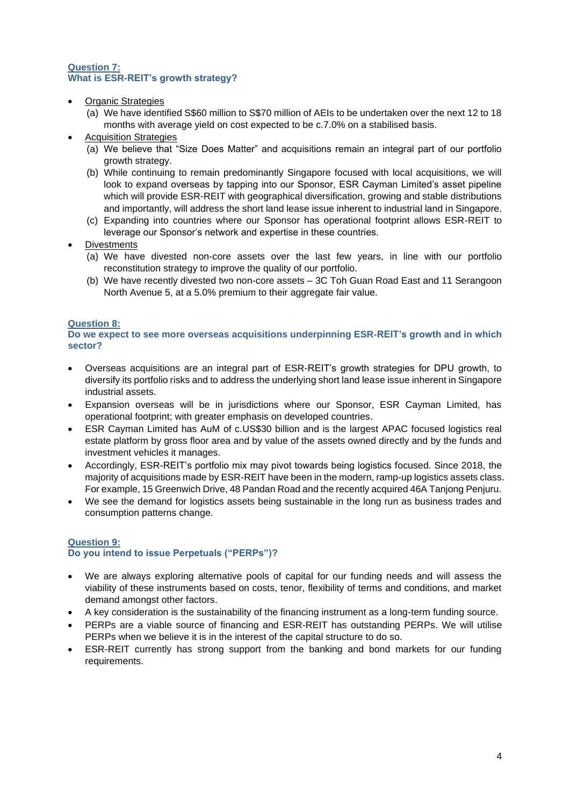## **Question 7: What is ESR-REIT's growth strategy?**

- Organic Strategies
	- (a) We have identified S\$60 million to S\$70 million of AEIs to be undertaken over the next 12 to 18 months with average yield on cost expected to be c.7.0% on a stabilised basis.
- **Acquisition Strategies** 
	- (a) We believe that "Size Does Matter" and acquisitions remain an integral part of our portfolio growth strategy.
	- (b) While continuing to remain predominantly Singapore focused with local acquisitions, we will look to expand overseas by tapping into our Sponsor, ESR Cayman Limited's asset pipeline which will provide ESR-REIT with geographical diversification, growing and stable distributions and importantly, will address the short land lease issue inherent to industrial land in Singapore.
	- (c) Expanding into countries where our Sponsor has operational footprint allows ESR-REIT to leverage our Sponsor's network and expertise in these countries.
- **Divestments** 
	- (a) We have divested non-core assets over the last few years, in line with our portfolio reconstitution strategy to improve the quality of our portfolio.
	- (b) We have recently divested two non-core assets 3C Toh Guan Road East and 11 Serangoon North Avenue 5, at a 5.0% premium to their aggregate fair value.

### **Question 8:**

**Do we expect to see more overseas acquisitions underpinning ESR-REIT's growth and in which sector?**

- Overseas acquisitions are an integral part of ESR-REIT's growth strategies for DPU growth, to diversify its portfolio risks and to address the underlying short land lease issue inherent in Singapore industrial assets.
- Expansion overseas will be in jurisdictions where our Sponsor, ESR Cayman Limited, has operational footprint; with greater emphasis on developed countries.
- ESR Cayman Limited has AuM of c.US\$30 billion and is the largest APAC focused logistics real estate platform by gross floor area and by value of the assets owned directly and by the funds and investment vehicles it manages.
- Accordingly, ESR-REIT's portfolio mix may pivot towards being logistics focused. Since 2018, the majority of acquisitions made by ESR-REIT have been in the modern, ramp-up logistics assets class. For example, 15 Greenwich Drive, 48 Pandan Road and the recently acquired 46A Tanjong Penjuru.
- We see the demand for logistics assets being sustainable in the long run as business trades and consumption patterns change.

#### **Question 9: Do you intend to issue Perpetuals ("PERPs")?**

- We are always exploring alternative pools of capital for our funding needs and will assess the viability of these instruments based on costs, tenor, flexibility of terms and conditions, and market demand amongst other factors.
- A key consideration is the sustainability of the financing instrument as a long-term funding source.
- PERPs are a viable source of financing and ESR-REIT has outstanding PERPs. We will utilise PERPs when we believe it is in the interest of the capital structure to do so.
- ESR-REIT currently has strong support from the banking and bond markets for our funding requirements.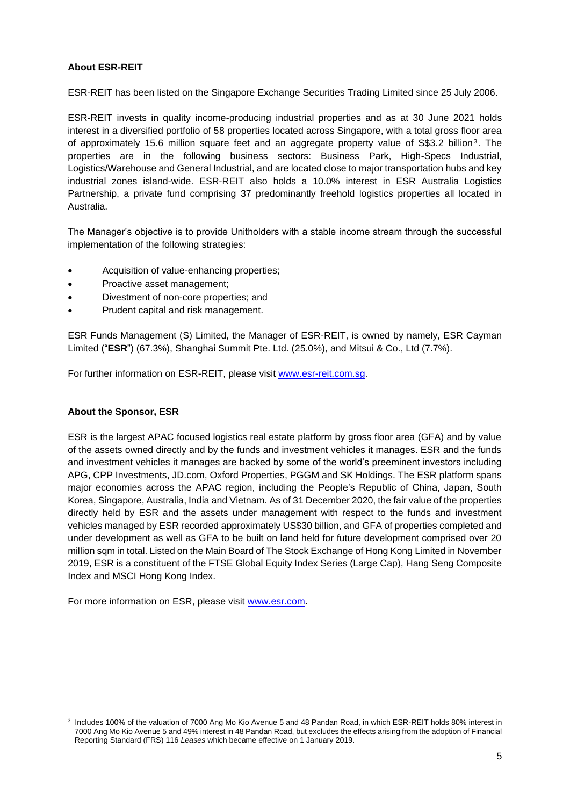## **About ESR-REIT**

ESR-REIT has been listed on the Singapore Exchange Securities Trading Limited since 25 July 2006.

ESR-REIT invests in quality income-producing industrial properties and as at 30 June 2021 holds interest in a diversified portfolio of 58 properties located across Singapore, with a total gross floor area of approximately 15.6 million square feet and an aggregate property value of S\$3.2 billion<sup>3</sup>. The properties are in the following business sectors: Business Park, High-Specs Industrial, Logistics/Warehouse and General Industrial, and are located close to major transportation hubs and key industrial zones island-wide. ESR-REIT also holds a 10.0% interest in ESR Australia Logistics Partnership, a private fund comprising 37 predominantly freehold logistics properties all located in Australia.

The Manager's objective is to provide Unitholders with a stable income stream through the successful implementation of the following strategies:

- Acquisition of value-enhancing properties;
- Proactive asset management;
- Divestment of non-core properties; and
- Prudent capital and risk management.

ESR Funds Management (S) Limited, the Manager of ESR-REIT, is owned by namely, ESR Cayman Limited ("**ESR**") (67.3%), Shanghai Summit Pte. Ltd. (25.0%), and Mitsui & Co., Ltd (7.7%).

For further information on ESR-REIT, please visit [www.esr-reit.com.sg.](http://www.esr-reit.com.sg/)

### **About the Sponsor, ESR**

ESR is the largest APAC focused logistics real estate platform by gross floor area (GFA) and by value of the assets owned directly and by the funds and investment vehicles it manages. ESR and the funds and investment vehicles it manages are backed by some of the world's preeminent investors including APG, CPP Investments, JD.com, Oxford Properties, PGGM and SK Holdings. The ESR platform spans major economies across the APAC region, including the People's Republic of China, Japan, South Korea, Singapore, Australia, India and Vietnam. As of 31 December 2020, the fair value of the properties directly held by ESR and the assets under management with respect to the funds and investment vehicles managed by ESR recorded approximately US\$30 billion, and GFA of properties completed and under development as well as GFA to be built on land held for future development comprised over 20 million sqm in total. Listed on the Main Board of The Stock Exchange of Hong Kong Limited in November 2019, ESR is a constituent of the FTSE Global Equity Index Series (Large Cap), Hang Seng Composite Index and MSCI Hong Kong Index.

For more information on ESR, please visit [www.esr.com](https://apc01.safelinks.protection.outlook.com/?url=http%3A%2F%2Fwww.esr.com&data=02%7C01%7Cgloria.low%40esr-reit.com.sg%7Cb18ed7da682643de8b7008d766916f05%7C6ed733c0622d401d8f49b2984c7d765f%7C0%7C0%7C637090647129612986&sdata=hiUu8gk6thHcFkbiXEp08i9y2Ux64on2c0ivRFvmSek%3D&reserved=0)**.**

<sup>3</sup> Includes 100% of the valuation of 7000 Ang Mo Kio Avenue 5 and 48 Pandan Road, in which ESR-REIT holds 80% interest in 7000 Ang Mo Kio Avenue 5 and 49% interest in 48 Pandan Road, but excludes the effects arising from the adoption of Financial Reporting Standard (FRS) 116 *Leases* which became effective on 1 January 2019.